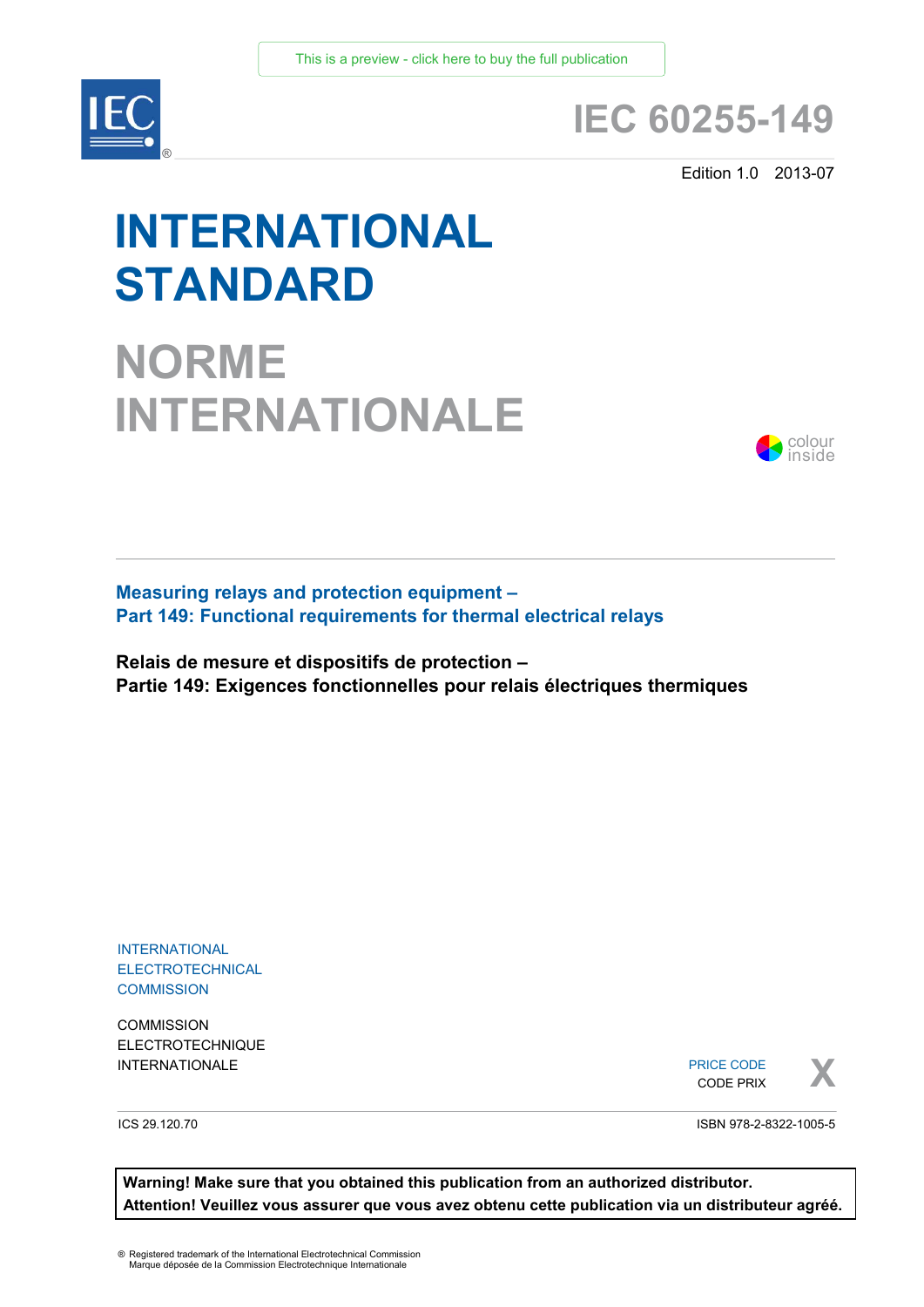

## **IEC 60255-149**

Edition 1.0 2013-07

# **INTERNATIONAL STANDARD**

**NORME INTERNATIONALE**



**Measuring relays and protection equipment – Part 149: Functional requirements for thermal electrical relays** 

**Relais de mesure et dispositifs de protection – Partie 149: Exigences fonctionnelles pour relais électriques thermiques**

INTERNATIONAL **ELECTROTECHNICAL COMMISSION** 

**COMMISSION** ELECTROTECHNIQUE

INTERNATIONALE PRICE CODE PRIX PRICE CODE CODE PRIX



ICS 29.120.70

ISBN 978-2-8322-1005-5

**Warning! Make sure that you obtained this publication from an authorized distributor. Attention! Veuillez vous assurer que vous avez obtenu cette publication via un distributeur agréé.**

® Registered trademark of the International Electrotechnical Commission Marque déposée de la Commission Electrotechnique Internationale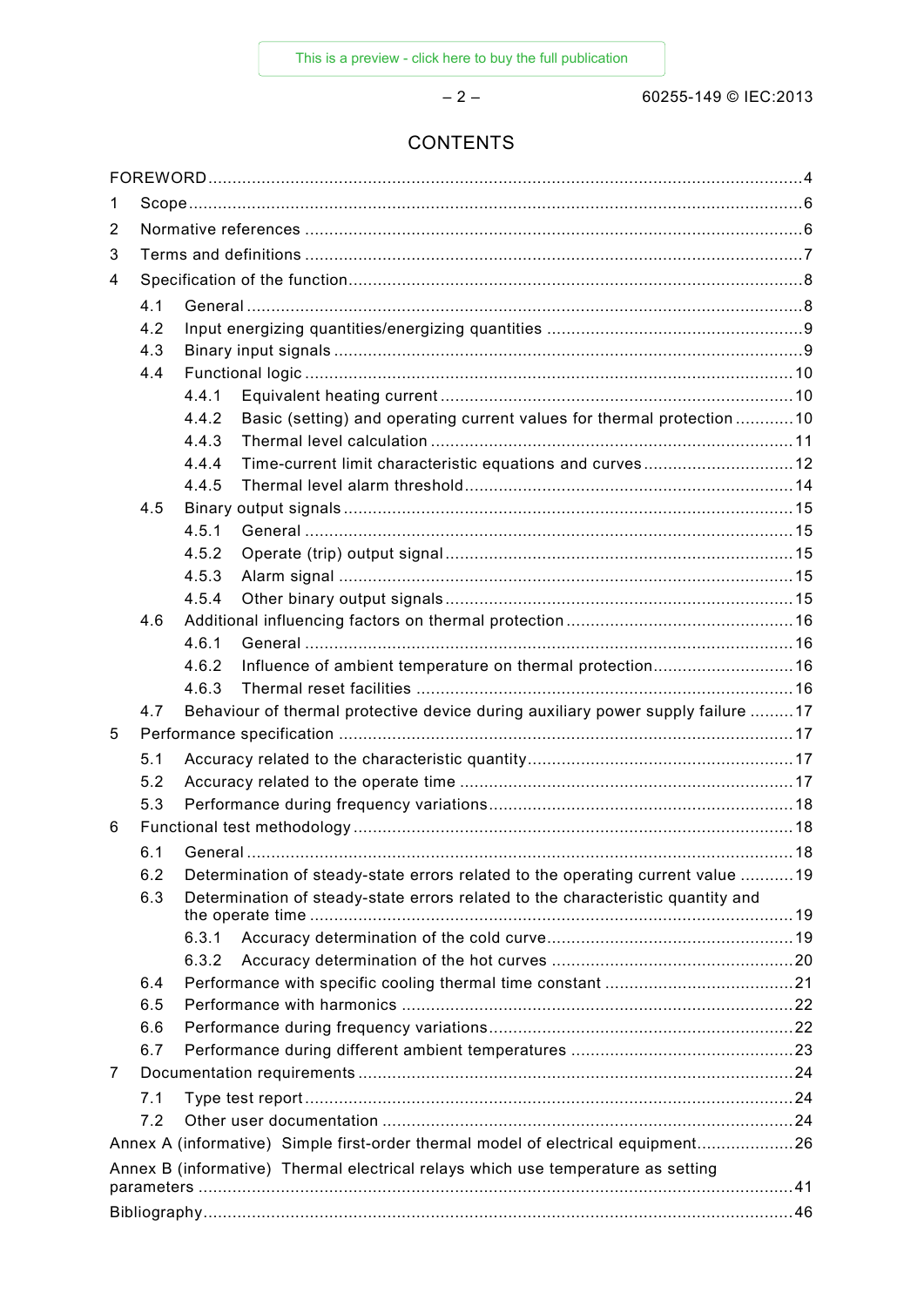– 2 – 60255-149 © IEC:2013

### **CONTENTS**

| 1              |                                                                                        |                                                                                  |  |  |  |
|----------------|----------------------------------------------------------------------------------------|----------------------------------------------------------------------------------|--|--|--|
| 2              |                                                                                        |                                                                                  |  |  |  |
| 3              |                                                                                        |                                                                                  |  |  |  |
| $\overline{4}$ |                                                                                        |                                                                                  |  |  |  |
|                | 4.1                                                                                    |                                                                                  |  |  |  |
|                | 4.2                                                                                    |                                                                                  |  |  |  |
|                | 4.3                                                                                    |                                                                                  |  |  |  |
|                | 4.4                                                                                    |                                                                                  |  |  |  |
|                |                                                                                        | 4.4.1                                                                            |  |  |  |
|                |                                                                                        | Basic (setting) and operating current values for thermal protection 10<br>4.4.2  |  |  |  |
|                |                                                                                        | 4.4.3                                                                            |  |  |  |
|                |                                                                                        | 4.4.4                                                                            |  |  |  |
|                |                                                                                        | 4.4.5                                                                            |  |  |  |
|                | 4.5                                                                                    |                                                                                  |  |  |  |
|                |                                                                                        | 4.5.1                                                                            |  |  |  |
|                |                                                                                        | 4.5.2                                                                            |  |  |  |
|                |                                                                                        | 4.5.3                                                                            |  |  |  |
|                |                                                                                        | 4.5.4                                                                            |  |  |  |
|                | 4.6                                                                                    |                                                                                  |  |  |  |
|                |                                                                                        | 4.6.1                                                                            |  |  |  |
|                |                                                                                        | Influence of ambient temperature on thermal protection16<br>4.6.2                |  |  |  |
|                |                                                                                        | 4.6.3                                                                            |  |  |  |
|                | 4.7                                                                                    | Behaviour of thermal protective device during auxiliary power supply failure 17  |  |  |  |
| 5              |                                                                                        |                                                                                  |  |  |  |
|                | 5.1                                                                                    |                                                                                  |  |  |  |
|                | 5.2                                                                                    |                                                                                  |  |  |  |
|                | 5.3                                                                                    |                                                                                  |  |  |  |
| 6              |                                                                                        |                                                                                  |  |  |  |
|                | 6.1                                                                                    |                                                                                  |  |  |  |
|                | 6.2                                                                                    | Determination of steady-state errors related to the operating current value 19   |  |  |  |
|                | 6.3<br>Determination of steady-state errors related to the characteristic quantity and |                                                                                  |  |  |  |
|                |                                                                                        |                                                                                  |  |  |  |
|                |                                                                                        | 6.3.1                                                                            |  |  |  |
|                |                                                                                        | 6.3.2                                                                            |  |  |  |
|                | 6.4                                                                                    |                                                                                  |  |  |  |
|                | 6.5                                                                                    |                                                                                  |  |  |  |
|                | 6.6                                                                                    |                                                                                  |  |  |  |
|                | 6.7                                                                                    |                                                                                  |  |  |  |
| 7              |                                                                                        |                                                                                  |  |  |  |
|                | 7.1                                                                                    |                                                                                  |  |  |  |
|                | 7.2                                                                                    |                                                                                  |  |  |  |
|                |                                                                                        | Annex A (informative) Simple first-order thermal model of electrical equipment26 |  |  |  |
|                | Annex B (informative) Thermal electrical relays which use temperature as setting       |                                                                                  |  |  |  |
|                |                                                                                        |                                                                                  |  |  |  |
|                |                                                                                        |                                                                                  |  |  |  |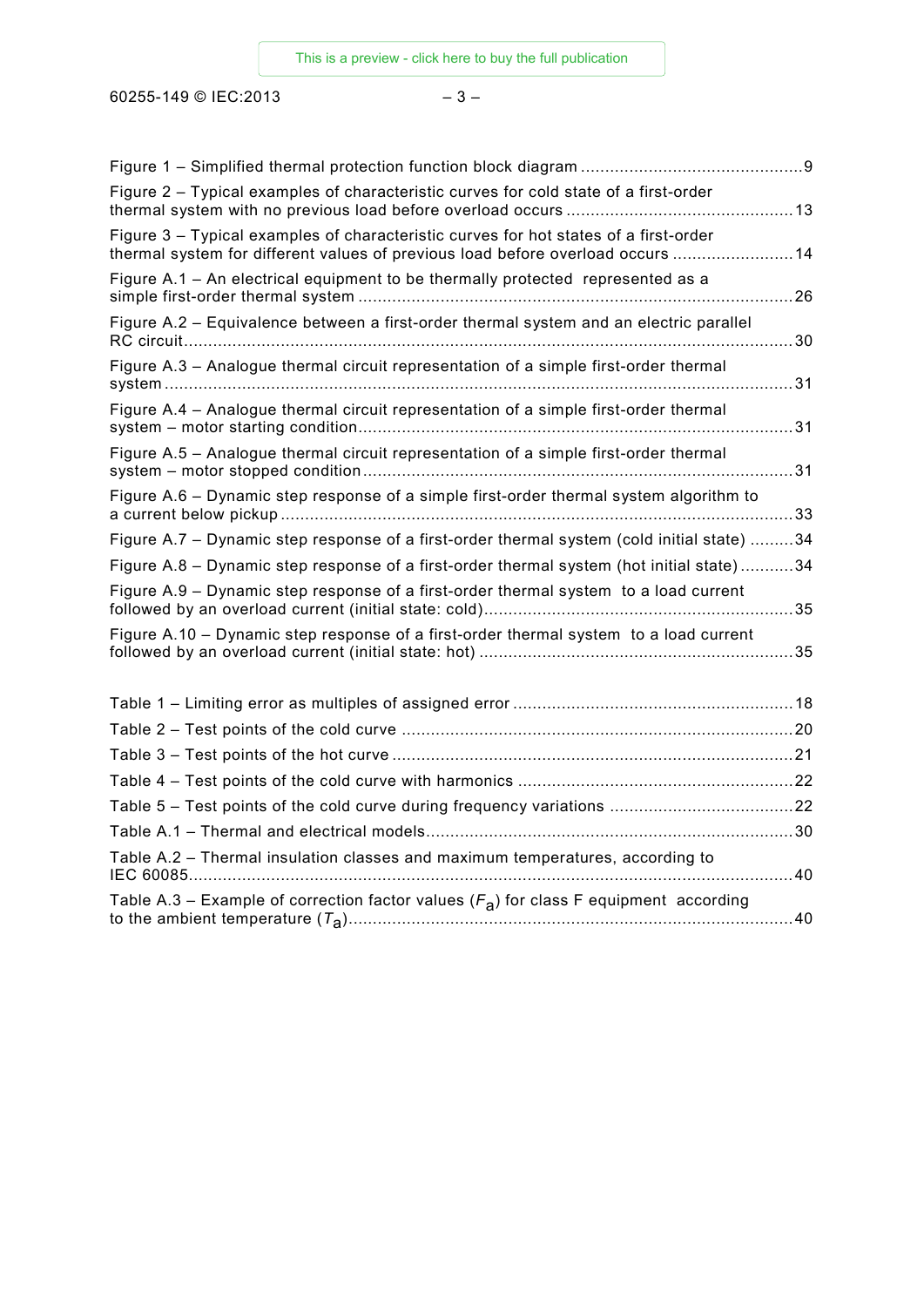60255-149 © IEC:2013 – 3 –

| Figure 2 - Typical examples of characteristic curves for cold state of a first-order                                                                                    |    |
|-------------------------------------------------------------------------------------------------------------------------------------------------------------------------|----|
| Figure 3 - Typical examples of characteristic curves for hot states of a first-order<br>thermal system for different values of previous load before overload occurs  14 |    |
| Figure A.1 - An electrical equipment to be thermally protected represented as a                                                                                         |    |
| Figure A.2 - Equivalence between a first-order thermal system and an electric parallel                                                                                  | 30 |
| Figure A.3 - Analogue thermal circuit representation of a simple first-order thermal                                                                                    | 31 |
| Figure A.4 - Analogue thermal circuit representation of a simple first-order thermal                                                                                    | 31 |
| Figure A.5 - Analogue thermal circuit representation of a simple first-order thermal                                                                                    |    |
| Figure A.6 - Dynamic step response of a simple first-order thermal system algorithm to                                                                                  |    |
| Figure A.7 – Dynamic step response of a first-order thermal system (cold initial state) 34                                                                              |    |
| Figure A.8 - Dynamic step response of a first-order thermal system (hot initial state)34                                                                                |    |
| Figure A.9 - Dynamic step response of a first-order thermal system to a load current                                                                                    |    |
| Figure A.10 - Dynamic step response of a first-order thermal system to a load current                                                                                   |    |
|                                                                                                                                                                         |    |
|                                                                                                                                                                         |    |
|                                                                                                                                                                         |    |
|                                                                                                                                                                         |    |
|                                                                                                                                                                         |    |
|                                                                                                                                                                         |    |
| Table A.2 - Thermal insulation classes and maximum temperatures, according to                                                                                           | 40 |
| Table A.3 – Example of correction factor values $(F_A)$ for class F equipment according                                                                                 |    |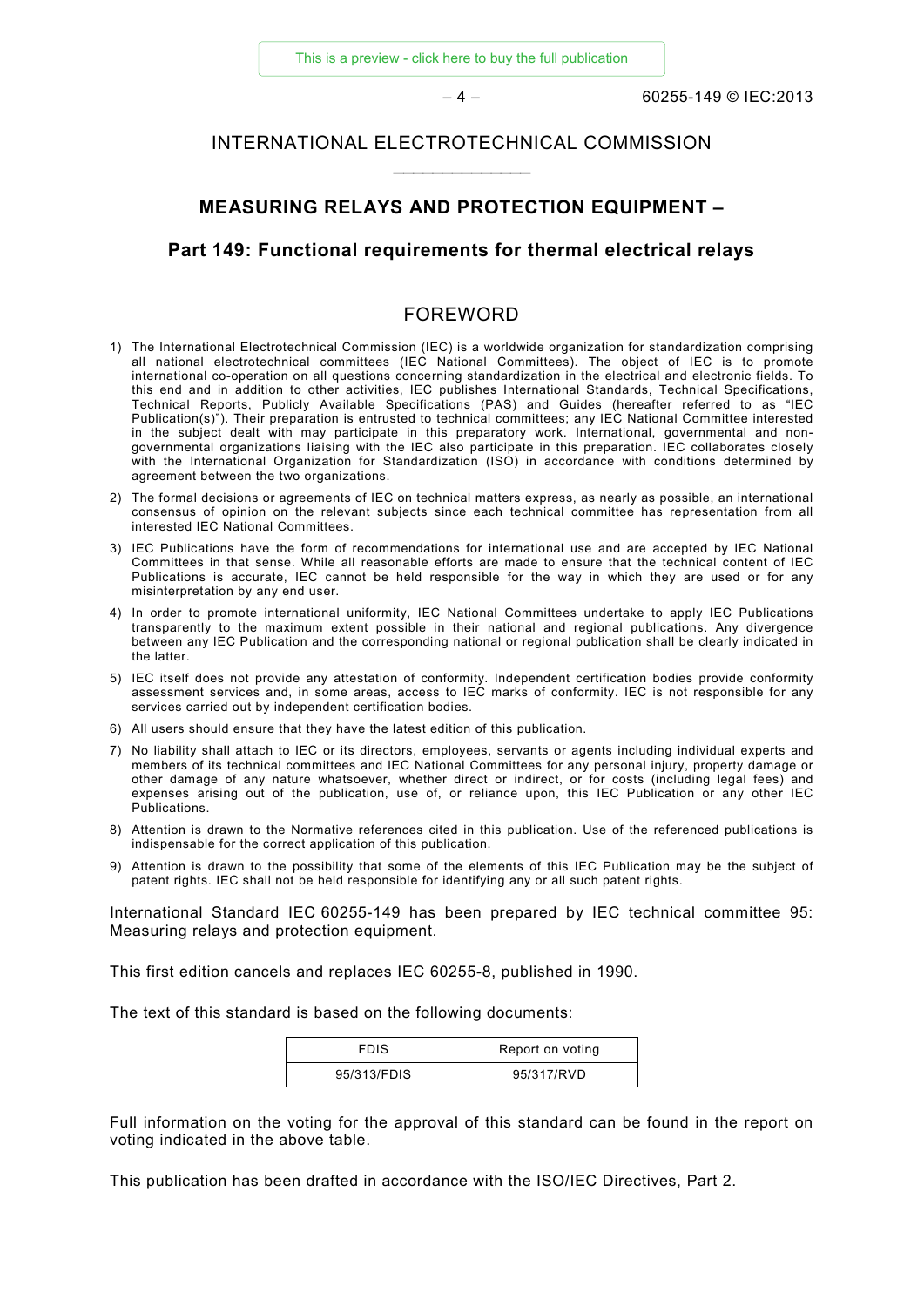#### INTERNATIONAL ELECTROTECHNICAL COMMISSION \_\_\_\_\_\_\_\_\_\_\_\_\_\_

#### **MEASURING RELAYS AND PROTECTION EQUIPMENT –**

#### **Part 149: Functional requirements for thermal electrical relays**

#### FOREWORD

- 1) The International Electrotechnical Commission (IEC) is a worldwide organization for standardization comprising all national electrotechnical committees (IEC National Committees). The object of IEC is to promote international co-operation on all questions concerning standardization in the electrical and electronic fields. To this end and in addition to other activities, IEC publishes International Standards, Technical Specifications, Technical Reports, Publicly Available Specifications (PAS) and Guides (hereafter referred to as "IEC Publication(s)"). Their preparation is entrusted to technical committees; any IEC National Committee interested in the subject dealt with may participate in this preparatory work. International, governmental and nongovernmental organizations liaising with the IEC also participate in this preparation. IEC collaborates closely with the International Organization for Standardization (ISO) in accordance with conditions determined by agreement between the two organizations.
- 2) The formal decisions or agreements of IEC on technical matters express, as nearly as possible, an international consensus of opinion on the relevant subjects since each technical committee has representation from all interested IEC National Committees.
- 3) IEC Publications have the form of recommendations for international use and are accepted by IEC National Committees in that sense. While all reasonable efforts are made to ensure that the technical content of IEC Publications is accurate, IEC cannot be held responsible for the way in which they are used or for any misinterpretation by any end user.
- 4) In order to promote international uniformity, IEC National Committees undertake to apply IEC Publications transparently to the maximum extent possible in their national and regional publications. Any divergence between any IEC Publication and the corresponding national or regional publication shall be clearly indicated in the latter.
- 5) IEC itself does not provide any attestation of conformity. Independent certification bodies provide conformity assessment services and, in some areas, access to IEC marks of conformity. IEC is not responsible for any services carried out by independent certification bodies.
- 6) All users should ensure that they have the latest edition of this publication.
- 7) No liability shall attach to IEC or its directors, employees, servants or agents including individual experts and members of its technical committees and IEC National Committees for any personal injury, property damage or other damage of any nature whatsoever, whether direct or indirect, or for costs (including legal fees) and expenses arising out of the publication, use of, or reliance upon, this IEC Publication or any other IEC Publications.
- 8) Attention is drawn to the Normative references cited in this publication. Use of the referenced publications is indispensable for the correct application of this publication.
- 9) Attention is drawn to the possibility that some of the elements of this IEC Publication may be the subject of patent rights. IEC shall not be held responsible for identifying any or all such patent rights.

International Standard IEC 60255-149 has been prepared by IEC technical committee 95: Measuring relays and protection equipment.

This first edition cancels and replaces IEC 60255-8, published in 1990.

The text of this standard is based on the following documents:

| <b>FDIS</b> | Report on voting |
|-------------|------------------|
| 95/313/FDIS | 95/317/RVD       |

Full information on the voting for the approval of this standard can be found in the report on voting indicated in the above table.

This publication has been drafted in accordance with the ISO/IEC Directives, Part 2.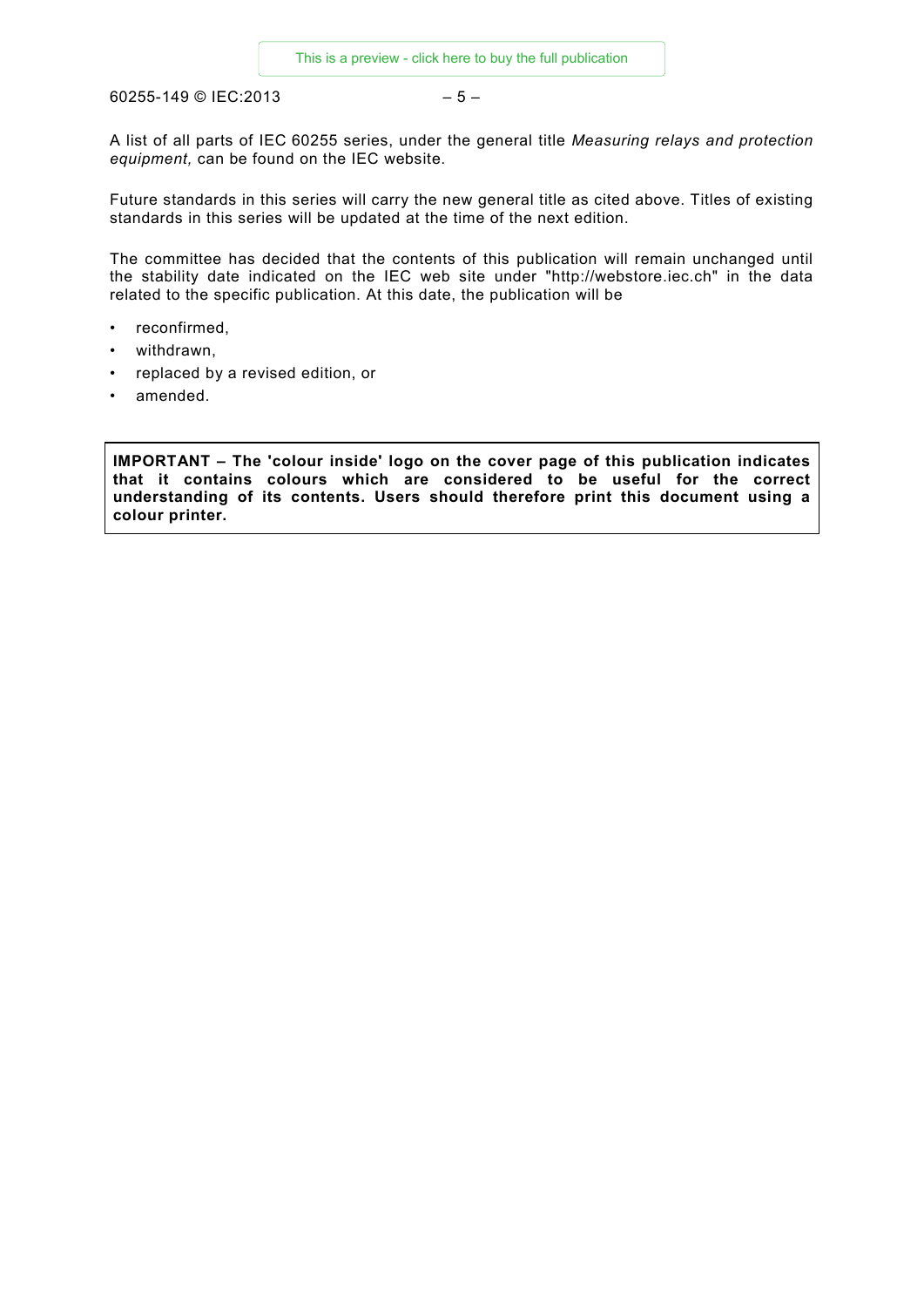60255-149 © IEC:2013 – 5 –

A list of all parts of IEC 60255 series, under the general title *Measuring relays and protection equipment,* can be found on the IEC website.

Future standards in this series will carry the new general title as cited above. Titles of existing standards in this series will be updated at the time of the next edition.

The committee has decided that the contents of this publication will remain unchanged until the stability date indicated on the IEC web site under "http://webstore.iec.ch" in the data related to the specific publication. At this date, the publication will be

- reconfirmed,
- withdrawn,
- replaced by a revised edition, or
- amended.

**IMPORTANT – The 'colour inside' logo on the cover page of this publication indicates that it contains colours which are considered to be useful for the correct understanding of its contents. Users should therefore print this document using a colour printer.**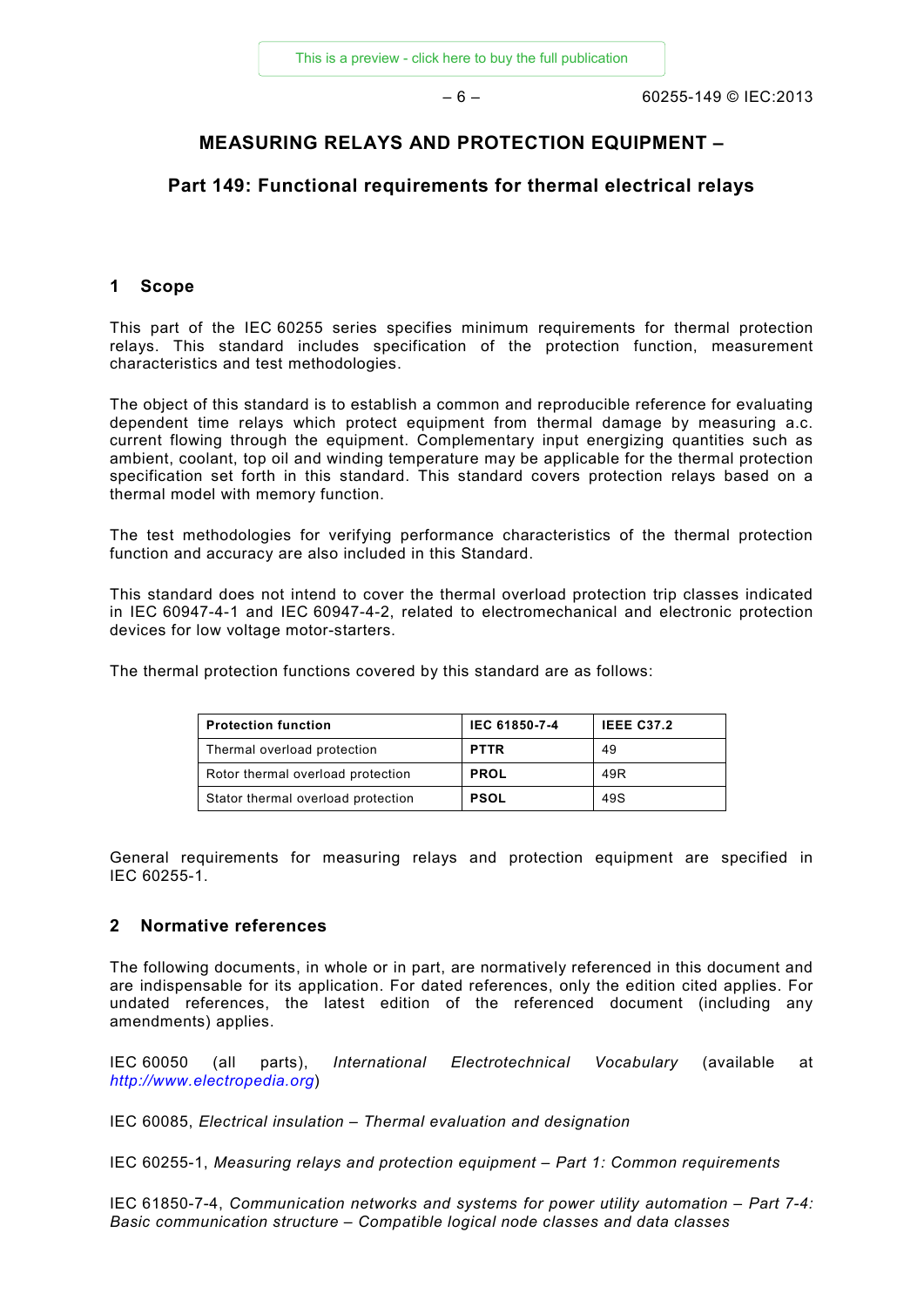#### **MEASURING RELAYS AND PROTECTION EQUIPMENT –**

#### **Part 149: Functional requirements for thermal electrical relays**

#### **1 Scope**

This part of the IEC 60255 series specifies minimum requirements for thermal protection relays. This standard includes specification of the protection function, measurement characteristics and test methodologies.

The object of this standard is to establish a common and reproducible reference for evaluating dependent time relays which protect equipment from thermal damage by measuring a.c. current flowing through the equipment. Complementary input energizing quantities such as ambient, coolant, top oil and winding temperature may be applicable for the thermal protection specification set forth in this standard. This standard covers protection relays based on a thermal model with memory function.

The test methodologies for verifying performance characteristics of the thermal protection function and accuracy are also included in this Standard.

This standard does not intend to cover the thermal overload protection trip classes indicated in IEC 60947-4-1 and IEC 60947-4-2, related to electromechanical and electronic protection devices for low voltage motor-starters.

The thermal protection functions covered by this standard are as follows:

| <b>Protection function</b>         | IEC 61850-7-4 | <b>IEEE C37.2</b> |
|------------------------------------|---------------|-------------------|
| Thermal overload protection        | <b>PTTR</b>   | 49                |
| Rotor thermal overload protection  | <b>PROL</b>   | 49R               |
| Stator thermal overload protection | <b>PSOL</b>   | 49S               |

General requirements for measuring relays and protection equipment are specified in IEC 60255-1.

#### **2 Normative references**

The following documents, in whole or in part, are normatively referenced in this document and are indispensable for its application. For dated references, only the edition cited applies. For undated references, the latest edition of the referenced document (including any amendments) applies.

IEC 60050 (all parts), *International Electrotechnical Vocabulary* (available at *[http://www.electropedia.org](http://www.electropedia.org/)*)

IEC 60085, *Electrical insulation – Thermal evaluation and designation*

IEC 60255-1, *Measuring relays and protection equipment – Part 1: Common requirements*

IEC 61850-7-4, *Communication networks and systems for power utility automation – Part 7-4: Basic communication structure – Compatible logical node classes and data classes*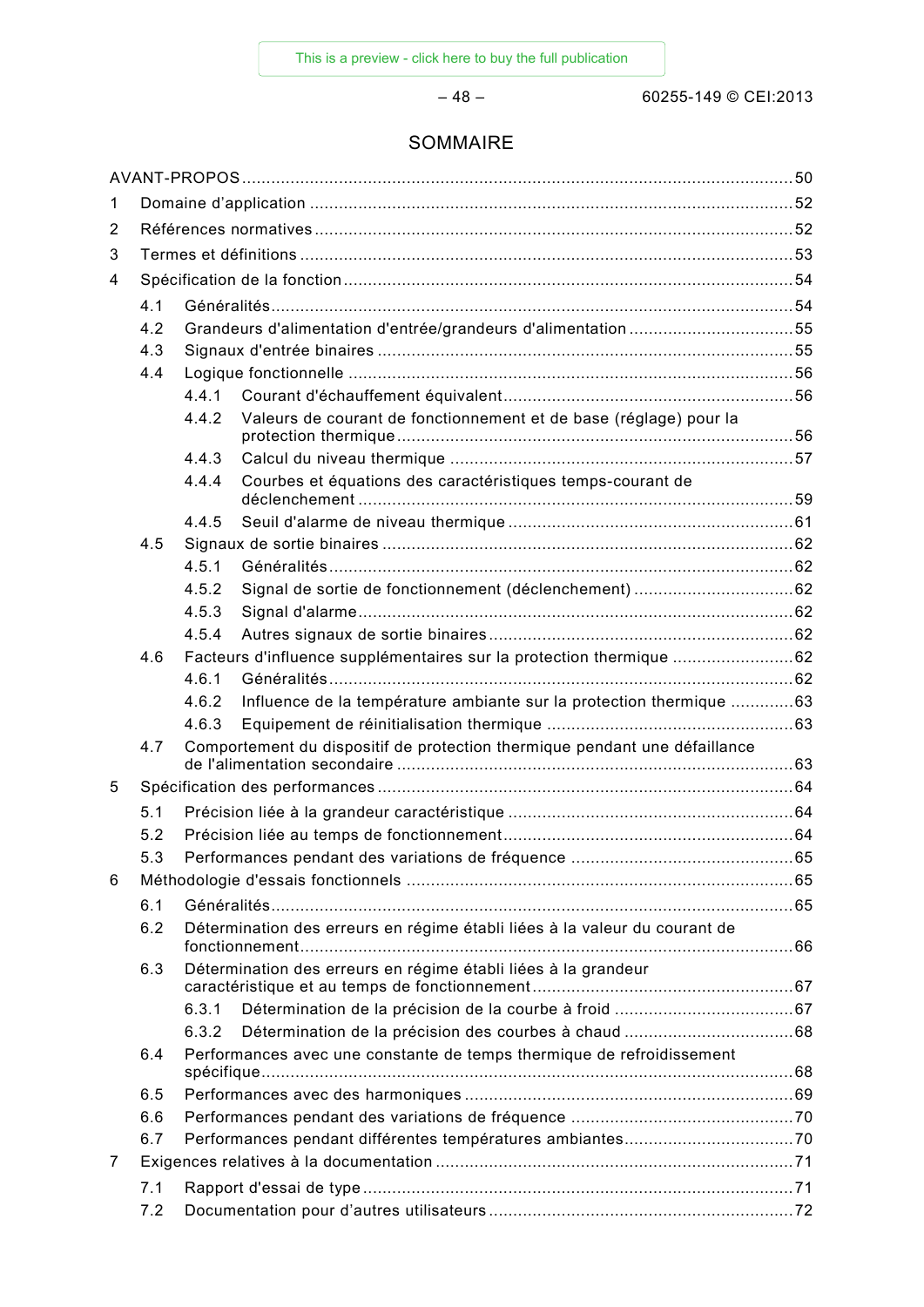– 48 – 60255-149 © CEI:2013

#### SOMMAIRE

| 1 |     |                                                                            |                                                                            |  |  |
|---|-----|----------------------------------------------------------------------------|----------------------------------------------------------------------------|--|--|
| 2 |     |                                                                            |                                                                            |  |  |
| 3 |     |                                                                            |                                                                            |  |  |
| 4 |     |                                                                            |                                                                            |  |  |
|   | 4.1 |                                                                            |                                                                            |  |  |
|   | 4.2 |                                                                            | Grandeurs d'alimentation d'entrée/grandeurs d'alimentation 55              |  |  |
|   | 4.3 |                                                                            |                                                                            |  |  |
|   | 4.4 |                                                                            |                                                                            |  |  |
|   |     | 441                                                                        |                                                                            |  |  |
|   |     | 4.4.2                                                                      | Valeurs de courant de fonctionnement et de base (réglage) pour la          |  |  |
|   |     | 4.4.3                                                                      |                                                                            |  |  |
|   |     | 4.4.4                                                                      | Courbes et équations des caractéristiques temps-courant de                 |  |  |
|   |     | 4.4.5                                                                      |                                                                            |  |  |
|   | 4.5 |                                                                            |                                                                            |  |  |
|   |     | 4.5.1                                                                      |                                                                            |  |  |
|   |     | 4.5.2                                                                      |                                                                            |  |  |
|   |     | 4.5.3                                                                      |                                                                            |  |  |
|   |     | 4.5.4                                                                      |                                                                            |  |  |
|   | 4.6 |                                                                            | Facteurs d'influence supplémentaires sur la protection thermique 62        |  |  |
|   |     | 4.6.1                                                                      |                                                                            |  |  |
|   |     | 4.6.2                                                                      | Influence de la température ambiante sur la protection thermique 63        |  |  |
|   |     | 4.6.3                                                                      |                                                                            |  |  |
|   | 4.7 |                                                                            | Comportement du dispositif de protection thermique pendant une défaillance |  |  |
| 5 |     |                                                                            |                                                                            |  |  |
|   | 5.1 |                                                                            |                                                                            |  |  |
|   | 5.2 |                                                                            |                                                                            |  |  |
|   | 5.3 |                                                                            |                                                                            |  |  |
| 6 |     |                                                                            |                                                                            |  |  |
|   | 6.1 |                                                                            |                                                                            |  |  |
|   | 6.2 | Détermination des erreurs en régime établi liées à la valeur du courant de |                                                                            |  |  |
|   | 6.3 |                                                                            | Détermination des erreurs en régime établi liées à la grandeur             |  |  |
|   |     | 6.3.1                                                                      |                                                                            |  |  |
|   |     | 6.3.2                                                                      |                                                                            |  |  |
|   | 6.4 |                                                                            | Performances avec une constante de temps thermique de refroidissement      |  |  |
|   | 6.5 |                                                                            |                                                                            |  |  |
|   | 6.6 |                                                                            |                                                                            |  |  |
|   | 6.7 |                                                                            |                                                                            |  |  |
| 7 |     |                                                                            |                                                                            |  |  |
|   | 7.1 |                                                                            |                                                                            |  |  |
|   | 7.2 |                                                                            |                                                                            |  |  |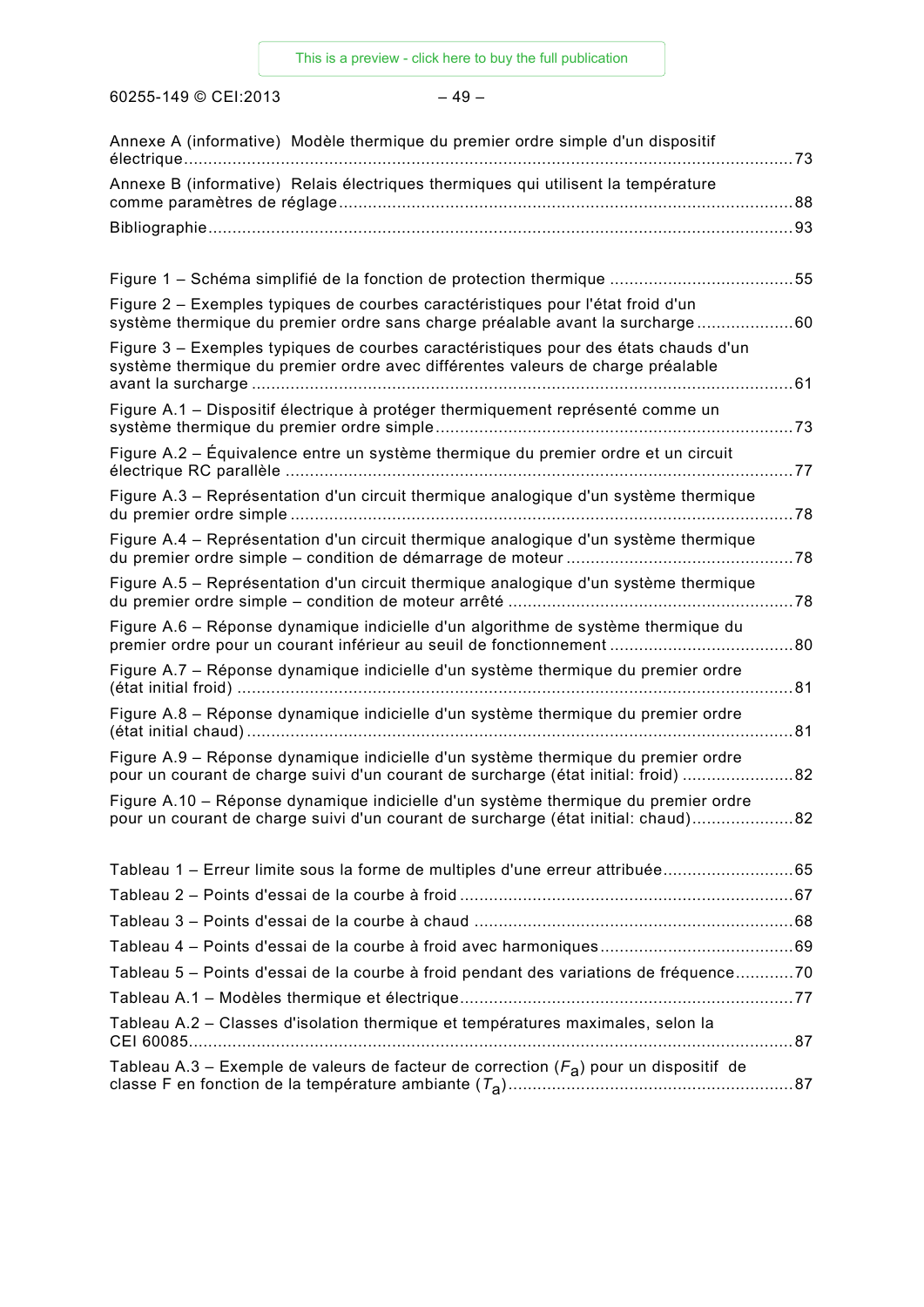60255-149 © CEI:2013 – 49 –

| Annexe A (informative) Modèle thermique du premier ordre simple d'un dispositif                                                                                         |    |
|-------------------------------------------------------------------------------------------------------------------------------------------------------------------------|----|
| Annexe B (informative) Relais électriques thermiques qui utilisent la température                                                                                       |    |
|                                                                                                                                                                         |    |
| Figure 1 – Schéma simplifié de la fonction de protection thermique 55                                                                                                   |    |
| Figure 2 – Exemples typiques de courbes caractéristiques pour l'état froid d'un<br>système thermique du premier ordre sans charge préalable avant la surcharge60        |    |
| Figure 3 – Exemples typiques de courbes caractéristiques pour des états chauds d'un<br>système thermique du premier ordre avec différentes valeurs de charge préalable  |    |
| Figure A.1 - Dispositif électrique à protéger thermiquement représenté comme un                                                                                         |    |
| Figure A.2 – Équivalence entre un système thermique du premier ordre et un circuit                                                                                      |    |
| Figure A.3 - Représentation d'un circuit thermique analogique d'un système thermique                                                                                    |    |
| Figure A.4 - Représentation d'un circuit thermique analogique d'un système thermique                                                                                    |    |
| Figure A.5 - Représentation d'un circuit thermique analogique d'un système thermique                                                                                    |    |
| Figure A.6 – Réponse dynamique indicielle d'un algorithme de système thermique du                                                                                       |    |
| Figure A.7 – Réponse dynamique indicielle d'un système thermique du premier ordre                                                                                       |    |
| Figure A.8 - Réponse dynamique indicielle d'un système thermique du premier ordre                                                                                       |    |
| Figure A.9 – Réponse dynamique indicielle d'un système thermique du premier ordre<br>pour un courant de charge suivi d'un courant de surcharge (état initial: froid) 82 |    |
| Figure A.10 – Réponse dynamique indicielle d'un système thermique du premier ordre<br>pour un courant de charge suivi d'un courant de surcharge (état initial: chaud)   | 82 |
| Tableau 1 - Erreur limite sous la forme de multiples d'une erreur attribuée65                                                                                           |    |
|                                                                                                                                                                         |    |
|                                                                                                                                                                         |    |
|                                                                                                                                                                         |    |
| Tableau 5 – Points d'essai de la courbe à froid pendant des variations de fréquence70                                                                                   |    |
|                                                                                                                                                                         |    |
| Tableau A.2 - Classes d'isolation thermique et températures maximales, selon la                                                                                         |    |
| Tableau A.3 – Exemple de valeurs de facteur de correction $(F_a)$ pour un dispositif de                                                                                 |    |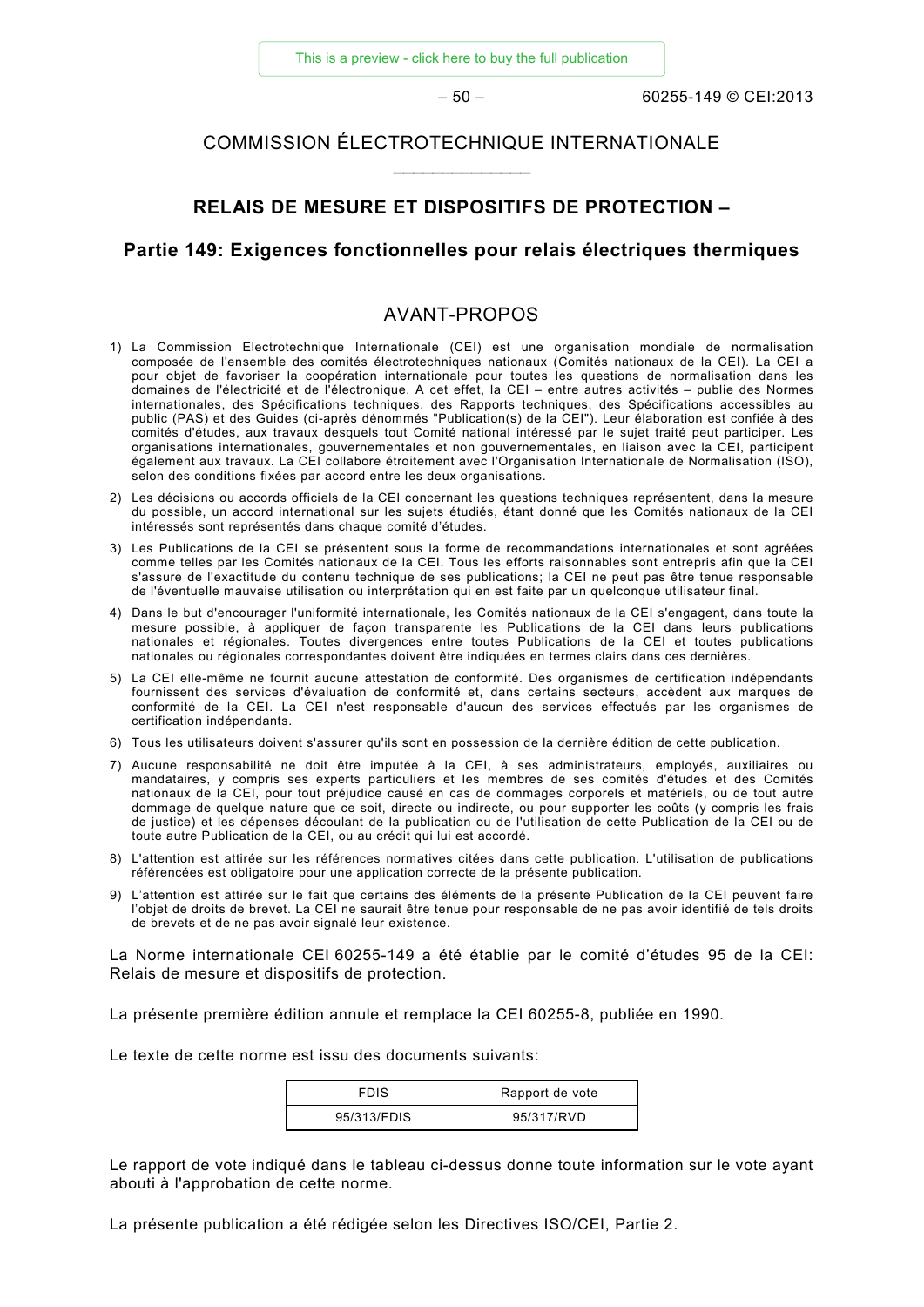#### COMMISSION ÉLECTROTECHNIQUE INTERNATIONALE \_\_\_\_\_\_\_\_\_\_\_\_\_\_

#### **RELAIS DE MESURE ET DISPOSITIFS DE PROTECTION –**

#### **Partie 149: Exigences fonctionnelles pour relais électriques thermiques**

#### AVANT-PROPOS

- 1) La Commission Electrotechnique Internationale (CEI) est une organisation mondiale de normalisation composée de l'ensemble des comités électrotechniques nationaux (Comités nationaux de la CEI). La CEI a pour objet de favoriser la coopération internationale pour toutes les questions de normalisation dans les domaines de l'électricité et de l'électronique. A cet effet, la CEI – entre autres activités – publie des Normes internationales, des Spécifications techniques, des Rapports techniques, des Spécifications accessibles au public (PAS) et des Guides (ci-après dénommés "Publication(s) de la CEI"). Leur élaboration est confiée à des comités d'études, aux travaux desquels tout Comité national intéressé par le sujet traité peut participer. Les organisations internationales, gouvernementales et non gouvernementales, en liaison avec la CEI, participent également aux travaux. La CEI collabore étroitement avec l'Organisation Internationale de Normalisation (ISO), selon des conditions fixées par accord entre les deux organisations.
- 2) Les décisions ou accords officiels de la CEI concernant les questions techniques représentent, dans la mesure du possible, un accord international sur les sujets étudiés, étant donné que les Comités nationaux de la CEI intéressés sont représentés dans chaque comité d'études.
- 3) Les Publications de la CEI se présentent sous la forme de recommandations internationales et sont agréées comme telles par les Comités nationaux de la CEI. Tous les efforts raisonnables sont entrepris afin que la CEI s'assure de l'exactitude du contenu technique de ses publications; la CEI ne peut pas être tenue responsable de l'éventuelle mauvaise utilisation ou interprétation qui en est faite par un quelconque utilisateur final.
- 4) Dans le but d'encourager l'uniformité internationale, les Comités nationaux de la CEI s'engagent, dans toute la mesure possible, à appliquer de façon transparente les Publications de la CEI dans leurs publications nationales et régionales. Toutes divergences entre toutes Publications de la CEI et toutes publications nationales ou régionales correspondantes doivent être indiquées en termes clairs dans ces dernières.
- 5) La CEI elle-même ne fournit aucune attestation de conformité. Des organismes de certification indépendants fournissent des services d'évaluation de conformité et, dans certains secteurs, accèdent aux marques de conformité de la CEI. La CEI n'est responsable d'aucun des services effectués par les organismes de certification indépendants.
- 6) Tous les utilisateurs doivent s'assurer qu'ils sont en possession de la dernière édition de cette publication.
- 7) Aucune responsabilité ne doit être imputée à la CEI, à ses administrateurs, employés, auxiliaires ou mandataires, y compris ses experts particuliers et les membres de ses comités d'études et des Comités nationaux de la CEI, pour tout préjudice causé en cas de dommages corporels et matériels, ou de tout autre dommage de quelque nature que ce soit, directe ou indirecte, ou pour supporter les coûts (y compris les frais de justice) et les dépenses découlant de la publication ou de l'utilisation de cette Publication de la CEI ou de toute autre Publication de la CEI, ou au crédit qui lui est accordé.
- 8) L'attention est attirée sur les références normatives citées dans cette publication. L'utilisation de publications référencées est obligatoire pour une application correcte de la présente publication.
- 9) L'attention est attirée sur le fait que certains des éléments de la présente Publication de la CEI peuvent faire l'objet de droits de brevet. La CEI ne saurait être tenue pour responsable de ne pas avoir identifié de tels droits de brevets et de ne pas avoir signalé leur existence.

La Norme internationale CEI 60255-149 a été établie par le comité d'études 95 de la CEI: Relais de mesure et dispositifs de protection.

La présente première édition annule et remplace la CEI 60255-8, publiée en 1990.

Le texte de cette norme est issu des documents suivants:

| <b>FDIS</b> | Rapport de vote |
|-------------|-----------------|
| 95/313/FDIS | 95/317/RVD      |

Le rapport de vote indiqué dans le tableau ci-dessus donne toute information sur le vote ayant abouti à l'approbation de cette norme.

La présente publication a été rédigée selon les Directives ISO/CEI, Partie 2.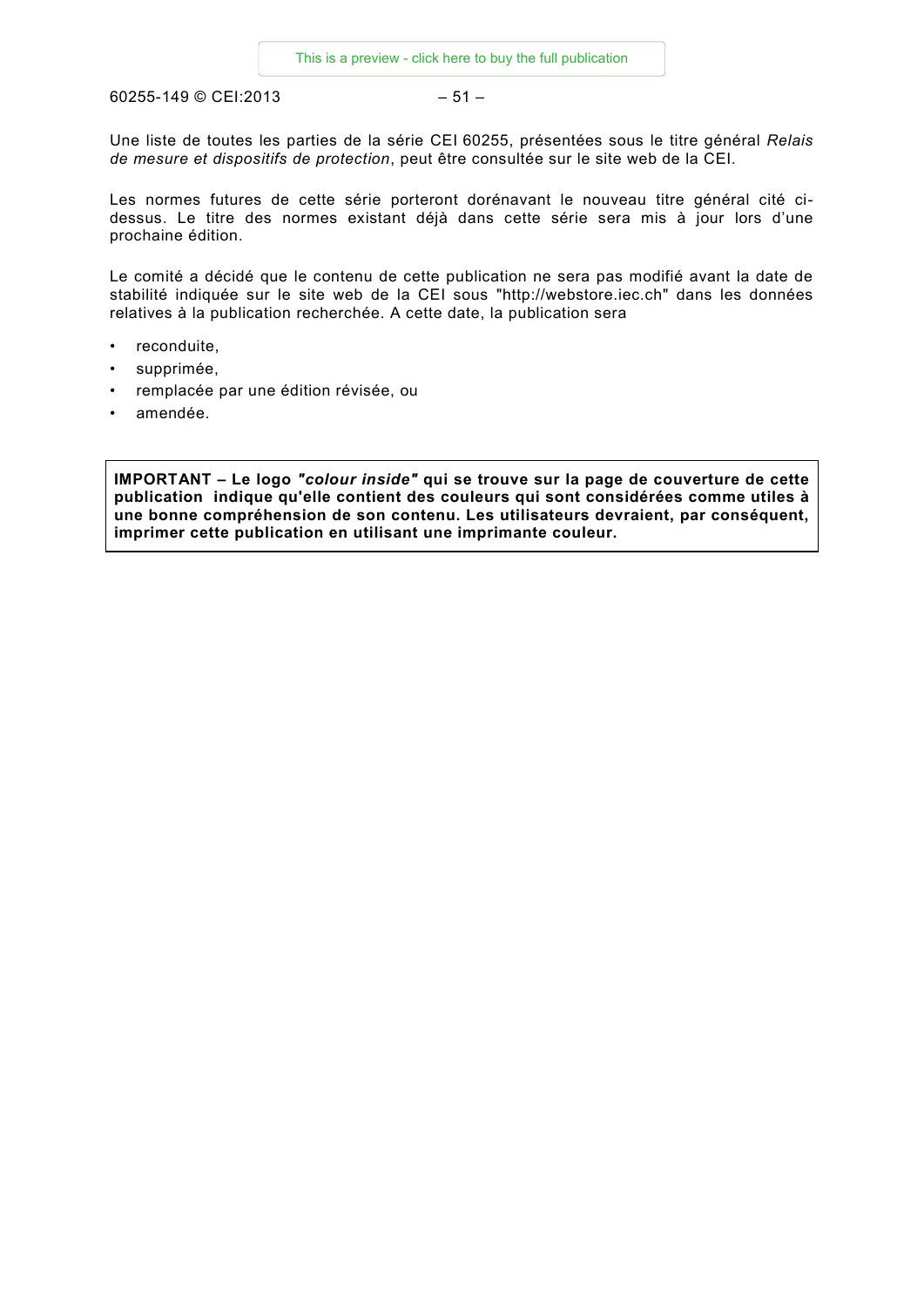60255-149 © CEI:2013 – 51 –

Une liste de toutes les parties de la série CEI 60255, présentées sous le titre général *Relais de mesure et dispositifs de protection*, peut être consultée sur le site web de la CEI.

Les normes futures de cette série porteront dorénavant le nouveau titre général cité cidessus. Le titre des normes existant déjà dans cette série sera mis à jour lors d'une prochaine édition.

Le comité a décidé que le contenu de cette publication ne sera pas modifié avant la date de stabilité indiquée sur le site web de la CEI sous "http://webstore.iec.ch" dans les données relatives à la publication recherchée. A cette date, la publication sera

- reconduite,
- supprimée.
- remplacée par une édition révisée, ou
- amendée.

**IMPORTANT – Le logo** *"colour inside"* **qui se trouve sur la page de couverture de cette publication indique qu'elle contient des couleurs qui sont considérées comme utiles à une bonne compréhension de son contenu. Les utilisateurs devraient, par conséquent, imprimer cette publication en utilisant une imprimante couleur.**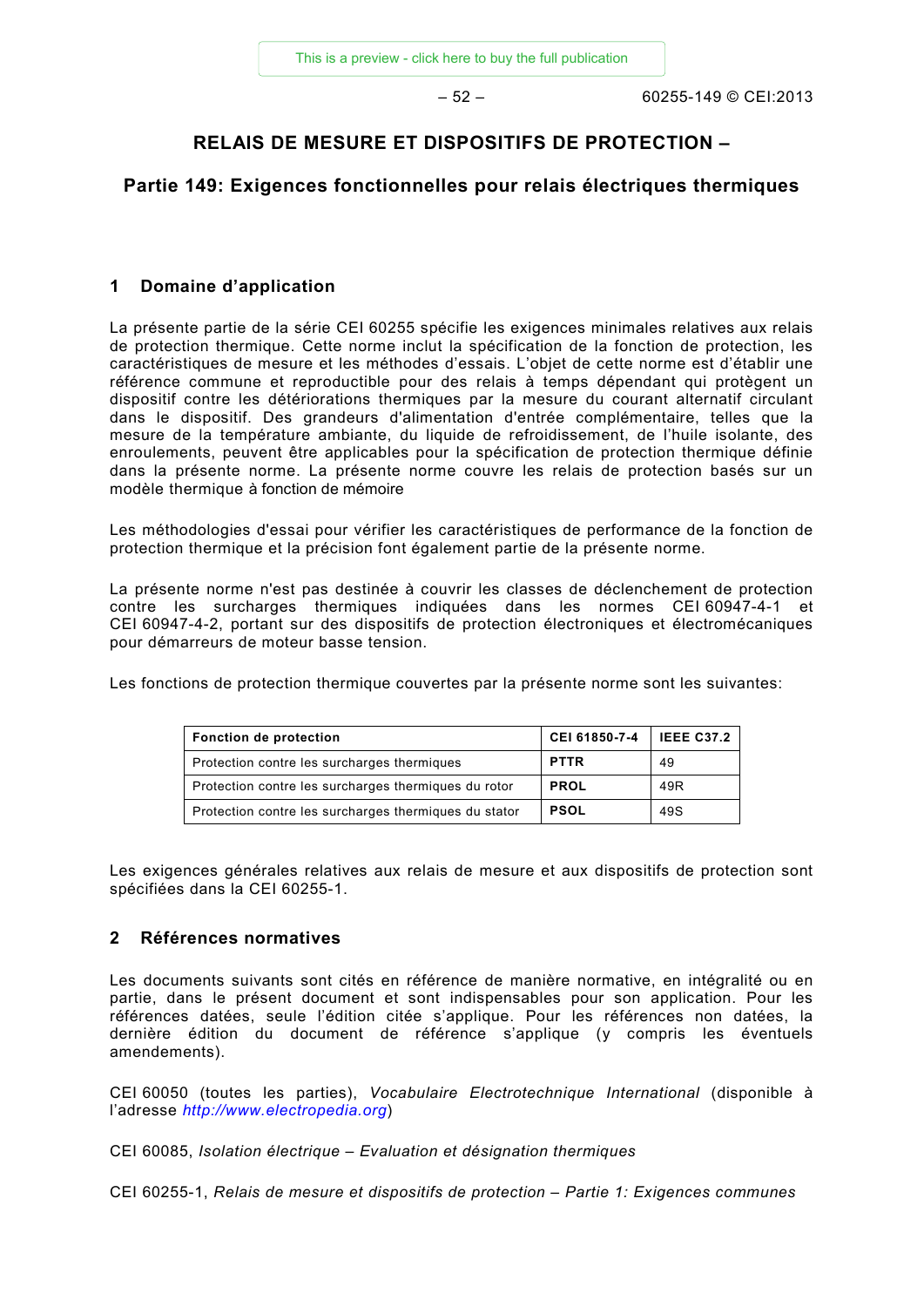#### **RELAIS DE MESURE ET DISPOSITIFS DE PROTECTION –**

#### **Partie 149: Exigences fonctionnelles pour relais électriques thermiques**

#### **1 Domaine d'application**

La présente partie de la série CEI 60255 spécifie les exigences minimales relatives aux relais de protection thermique. Cette norme inclut la spécification de la fonction de protection, les caractéristiques de mesure et les méthodes d'essais. L'objet de cette norme est d'établir une référence commune et reproductible pour des relais à temps dépendant qui protègent un dispositif contre les détériorations thermiques par la mesure du courant alternatif circulant dans le dispositif. Des grandeurs d'alimentation d'entrée complémentaire, telles que la mesure de la température ambiante, du liquide de refroidissement, de l'huile isolante, des enroulements, peuvent être applicables pour la spécification de protection thermique définie dans la présente norme. La présente norme couvre les relais de protection basés sur un modèle thermique à fonction de mémoire

Les méthodologies d'essai pour vérifier les caractéristiques de performance de la fonction de protection thermique et la précision font également partie de la présente norme.

La présente norme n'est pas destinée à couvrir les classes de déclenchement de protection contre les surcharges thermiques indiquées dans les normes CEI 60947-4-1 et CEI 60947-4-2, portant sur des dispositifs de protection électroniques et électromécaniques pour démarreurs de moteur basse tension.

Les fonctions de protection thermique couvertes par la présente norme sont les suivantes:

| Fonction de protection                                | CEI 61850-7-4 | <b>IEEE C37.2</b> |
|-------------------------------------------------------|---------------|-------------------|
| Protection contre les surcharges thermiques           | <b>PTTR</b>   | 49                |
| Protection contre les surcharges thermiques du rotor  | <b>PROL</b>   | 49R               |
| Protection contre les surcharges thermiques du stator | <b>PSOL</b>   | 49S               |

Les exigences générales relatives aux relais de mesure et aux dispositifs de protection sont spécifiées dans la CEI 60255-1.

#### **2 Références normatives**

Les documents suivants sont cités en référence de manière normative, en intégralité ou en partie, dans le présent document et sont indispensables pour son application. Pour les références datées, seule l'édition citée s'applique. Pour les références non datées, la dernière édition du document de référence s'applique (y compris les éventuels amendements).

CEI 60050 (toutes les parties), *Vocabulaire Electrotechnique International* (disponible à l'adresse *[http://www.electropedia.org](http://www.electropedia.org/)*)

CEI 60085, *Isolation électrique – Evaluation et désignation thermiques*

CEI 60255-1, *Relais de mesure et dispositifs de protection – Partie 1: Exigences communes*